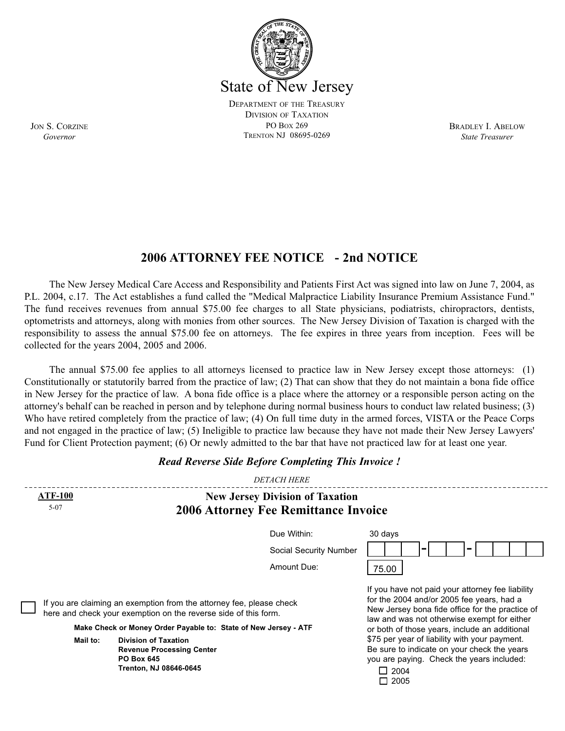

BRADLEY I. ABELOW *State Treasurer*

**2006 ATTORNEY FEE NOTICE - 2nd NOTICE**

The New Jersey Medical Care Access and Responsibility and Patients First Act was signed into law on June 7, 2004, as P.L. 2004, c.17. The Act establishes a fund called the "Medical Malpractice Liability Insurance Premium Assistance Fund." The fund receives revenues from annual \$75.00 fee charges to all State physicians, podiatrists, chiropractors, dentists, optometrists and attorneys, along with monies from other sources. The New Jersey Division of Taxation is charged with the responsibility to assess the annual \$75.00 fee on attorneys. The fee expires in three years from inception. Fees will be collected for the years 2004, 2005 and 2006.

The annual \$75.00 fee applies to all attorneys licensed to practice law in New Jersey except those attorneys: (1) Constitutionally or statutorily barred from the practice of law; (2) That can show that they do not maintain a bona fide office in New Jersey for the practice of law. A bona fide office is a place where the attorney or a responsible person acting on the attorney's behalf can be reached in person and by telephone during normal business hours to conduct law related business; (3) Who have retired completely from the practice of law; (4) On full time duty in the armed forces, VISTA or the Peace Corps and not engaged in the practice of law; (5) Ineligible to practice law because they have not made their New Jersey Lawyers' Fund for Client Protection payment; (6) Or newly admitted to the bar that have not practiced law for at least one year.

|                                                                                                                                                                                                            |  | <b>DETACH HERE</b>                                                                                                                                                                                                                                                                                                                                                                                                          |         |
|------------------------------------------------------------------------------------------------------------------------------------------------------------------------------------------------------------|--|-----------------------------------------------------------------------------------------------------------------------------------------------------------------------------------------------------------------------------------------------------------------------------------------------------------------------------------------------------------------------------------------------------------------------------|---------|
| <b>ATF-100</b><br><b>New Jersey Division of Taxation</b><br>$5 - 07$                                                                                                                                       |  |                                                                                                                                                                                                                                                                                                                                                                                                                             |         |
|                                                                                                                                                                                                            |  | <b>2006 Attorney Fee Remittance Invoice</b><br>Due Within:<br>Social Security Number                                                                                                                                                                                                                                                                                                                                        | 30 days |
|                                                                                                                                                                                                            |  | Amount Due:                                                                                                                                                                                                                                                                                                                                                                                                                 | 75.00   |
| If you are claiming an exemption from the attorney fee, please check<br>here and check your exemption on the reverse side of this form.<br>Make Check or Money Order Payable to: State of New Jersey - ATF |  | If you have not paid your attorney fee liability<br>for the 2004 and/or 2005 fee years, had a<br>New Jersey bona fide office for the practice of<br>law and was not otherwise exempt for either<br>or both of those years, include an additional<br>\$75 per year of liability with your payment.<br>Be sure to indicate on your check the years<br>you are paying. Check the years included:<br>$\Box$ 2004<br>$\Box$ 2005 |         |
| <b>Division of Taxation</b><br>Mail to:<br><b>Revenue Processing Center</b><br><b>PO Box 645</b><br>Trenton, NJ 08646-0645                                                                                 |  |                                                                                                                                                                                                                                                                                                                                                                                                                             |         |

*Read Reverse Side Before Completing This Invoice !*

JON S. CORZINE *Governor*